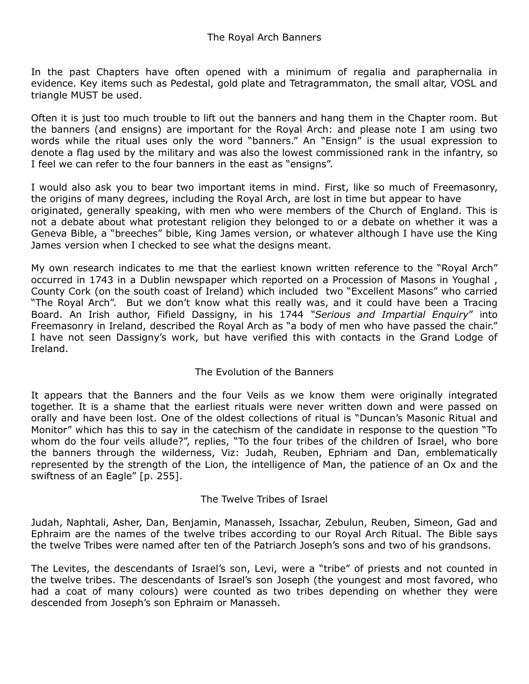In the past Chapters have often opened with a minimum of regalia and paraphernalia in evidence. Key items such as Pedestal, gold plate and Tetragrammaton, the small altar, VOSL and triangle MUST be used.

Often it is just too much trouble to lift out the banners and hang them in the Chapter room. But the banners (and ensigns) are important for the Royal Arch: and please note I am using two words while the ritual uses only the word "banners." An "Ensign" is the usual expression to denote a flag used by the military and was also the lowest commissioned rank in the infantry, so I feel we can refer to the four banners in the east as "ensigns".

I would also ask you to bear two important items in mind. First, like so much of Freemasonry, the origins of many degrees, including the Royal Arch, are lost in time but appear to have originated, generally speaking, with men who were members of the Church of England. This is not a debate about what protestant religion they belonged to or a debate on whether it was a Geneva Bible, a "breeches" bible, King James version, or whatever although I have use the King James version when I checked to see what the designs meant.

My own research indicates to me that the earliest known written reference to the "Royal Arch" occurred in 1743 in a Dublin newspaper which reported on a Procession of Masons in Youghal , County Cork (on the south coast of Ireland) which included two "Excellent Masons" who carried "The Royal Arch". But we don't know what this really was, and it could have been a Tracing Board. An Irish author, Fifield Dassigny, in his 1744 *"Serious and Impartial Enquiry*" into Freemasonry in Ireland, described the Royal Arch as "a body of men who have passed the chair." I have not seen Dassigny's work, but have verified this with contacts in the Grand Lodge of Ireland.

## The Evolution of the Banners

It appears that the Banners and the four Veils as we know them were originally integrated together. It is a shame that the earliest rituals were never written down and were passed on orally and have been lost. One of the oldest collections of ritual is "Duncan's Masonic Ritual and Monitor" which has this to say in the catechism of the candidate in response to the question "To whom do the four veils allude?", replies, "To the four tribes of the children of Israel, who bore the banners through the wilderness, Viz: Judah, Reuben, Ephriam and Dan, emblematically represented by the strength of the Lion, the intelligence of Man, the patience of an Ox and the swiftness of an Eagle" [p. 255].

## The Twelve Tribes of Israel

Judah, Naphtali, Asher, Dan, Benjamin, Manasseh, Issachar, Zebulun, Reuben, Simeon, Gad and Ephraim are the names of the twelve tribes according to our Royal Arch Ritual. The Bible says the twelve Tribes were named after ten of the Patriarch Joseph's sons and two of his grandsons.

The Levites, the descendants of Israel's son, Levi, were a "tribe" of priests and not counted in the twelve tribes. The descendants of Israel's son Joseph (the youngest and most favored, who had a coat of many colours) were counted as two tribes depending on whether they were descended from Joseph's son Ephraim or Manasseh.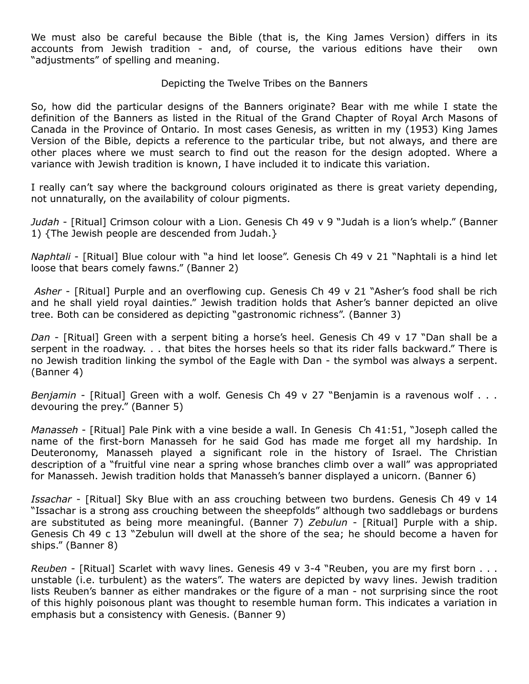We must also be careful because the Bible (that is, the King James Version) differs in its accounts from Jewish tradition - and, of course, the various editions have their own "adjustments" of spelling and meaning.

Depicting the Twelve Tribes on the Banners

So, how did the particular designs of the Banners originate? Bear with me while I state the definition of the Banners as listed in the Ritual of the Grand Chapter of Royal Arch Masons of Canada in the Province of Ontario. In most cases Genesis, as written in my (1953) King James Version of the Bible, depicts a reference to the particular tribe, but not always, and there are other places where we must search to find out the reason for the design adopted. Where a variance with Jewish tradition is known, I have included it to indicate this variation.

I really can't say where the background colours originated as there is great variety depending, not unnaturally, on the availability of colour pigments.

*Judah* - [Ritual] Crimson colour with a Lion. Genesis Ch 49 v 9 "Judah is a lion's whelp." (Banner 1) {The Jewish people are descended from Judah.}

*Naphtali* - [Ritual] Blue colour with "a hind let loose". Genesis Ch 49 v 21 "Naphtali is a hind let loose that bears comely fawns." (Banner 2)

*Asher* - [Ritual] Purple and an overflowing cup. Genesis Ch 49 v 21 "Asher's food shall be rich and he shall yield royal dainties." Jewish tradition holds that Asher's banner depicted an olive tree. Both can be considered as depicting "gastronomic richness". (Banner 3)

*Dan* - [Ritual] Green with a serpent biting a horse's heel. Genesis Ch 49 v 17 "Dan shall be a serpent in the roadway. . . that bites the horses heels so that its rider falls backward." There is no Jewish tradition linking the symbol of the Eagle with Dan - the symbol was always a serpent. (Banner 4)

*Benjamin* - [Ritual] Green with a wolf. Genesis Ch 49 v 27 "Benjamin is a ravenous wolf . . . devouring the prey." (Banner 5)

*Manasseh* - [Ritual] Pale Pink with a vine beside a wall. In Genesis Ch 41:51, "Joseph called the name of the first-born Manasseh for he said God has made me forget all my hardship. In Deuteronomy, Manasseh played a significant role in the history of Israel. The Christian description of a "fruitful vine near a spring whose branches climb over a wall" was appropriated for Manasseh. Jewish tradition holds that Manasseh's banner displayed a unicorn. (Banner 6)

*Issachar* - [Ritual] Sky Blue with an ass crouching between two burdens. Genesis Ch 49 v 14 "Issachar is a strong ass crouching between the sheepfolds" although two saddlebags or burdens are substituted as being more meaningful. (Banner 7) *Zebulun* - [Ritual] Purple with a ship. Genesis Ch 49 c 13 "Zebulun will dwell at the shore of the sea; he should become a haven for ships." (Banner 8)

*Reuben* - [Ritual] Scarlet with wavy lines. Genesis 49 v 3-4 "Reuben, you are my first born . . . unstable (i.e. turbulent) as the waters". The waters are depicted by wavy lines. Jewish tradition lists Reuben's banner as either mandrakes or the figure of a man - not surprising since the root of this highly poisonous plant was thought to resemble human form. This indicates a variation in emphasis but a consistency with Genesis. (Banner 9)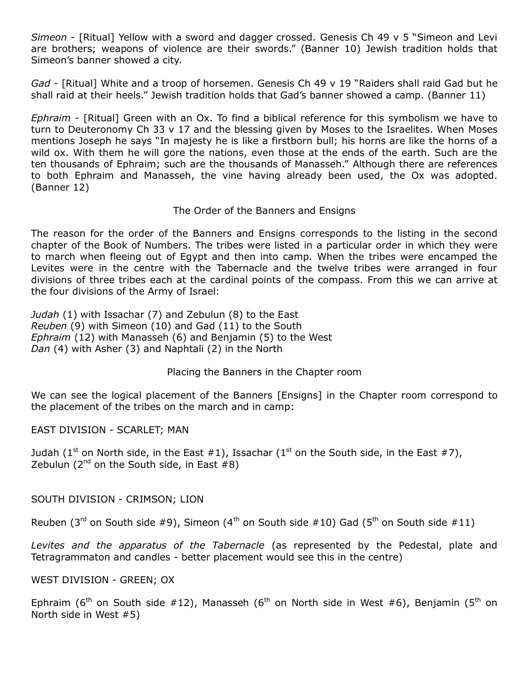*Simeon* - [Ritual] Yellow with a sword and dagger crossed. Genesis Ch 49 v 5 "Simeon and Levi are brothers; weapons of violence are their swords." (Banner 10) Jewish tradition holds that Simeon's banner showed a city.

*Gad* - [Ritual] White and a troop of horsemen. Genesis Ch 49 v 19 "Raiders shall raid Gad but he shall raid at their heels." Jewish tradition holds that Gad's banner showed a camp. (Banner 11)

*Ephraim* - [Ritual] Green with an Ox. To find a biblical reference for this symbolism we have to turn to Deuteronomy Ch 33 v 17 and the blessing given by Moses to the Israelites. When Moses mentions Joseph he says "In majesty he is like a firstborn bull; his horns are like the horns of a wild ox. With them he will gore the nations, even those at the ends of the earth. Such are the ten thousands of Ephraim; such are the thousands of Manasseh." Although there are references to both Ephraim and Manasseh, the vine having already been used, the Ox was adopted. (Banner 12)

## The Order of the Banners and Ensigns

The reason for the order of the Banners and Ensigns corresponds to the listing in the second chapter of the Book of Numbers. The tribes were listed in a particular order in which they were to march when fleeing out of Egypt and then into camp. When the tribes were encamped the Levites were in the centre with the Tabernacle and the twelve tribes were arranged in four divisions of three tribes each at the cardinal points of the compass. From this we can arrive at the four divisions of the Army of Israel:

*Judah* (1) with Issachar (7) and Zebulun (8) to the East *Reuben* (9) with Simeon (10) and Gad (11) to the South *Ephraim* (12) with Manasseh (6) and Benjamin (5) to the West *Dan* (4) with Asher (3) and Naphtali (2) in the North

Placing the Banners in the Chapter room

We can see the logical placement of the Banners [Ensigns] in the Chapter room correspond to the placement of the tribes on the march and in camp:

EAST DIVISION - SCARLET; MAN

Judah (1<sup>st</sup> on North side, in the East #1), Issachar (1<sup>st</sup> on the South side, in the East #7), Zebulun ( $2^{nd}$  on the South side, in East  $#8$ )

SOUTH DIVISION - CRIMSON; LION

Reuben (3<sup>rd</sup> on South side #9), Simeon (4<sup>th</sup> on South side #10) Gad (5<sup>th</sup> on South side #11)

*Levites and the apparatus of the Tabernacle* (as represented by the Pedestal, plate and Tetragrammaton and candles - better placement would see this in the centre)

WEST DIVISION - GREEN; OX

Ephraim (6<sup>th</sup> on South side #12), Manasseh (6<sup>th</sup> on North side in West #6), Benjamin (5<sup>th</sup> on North side in West #5)